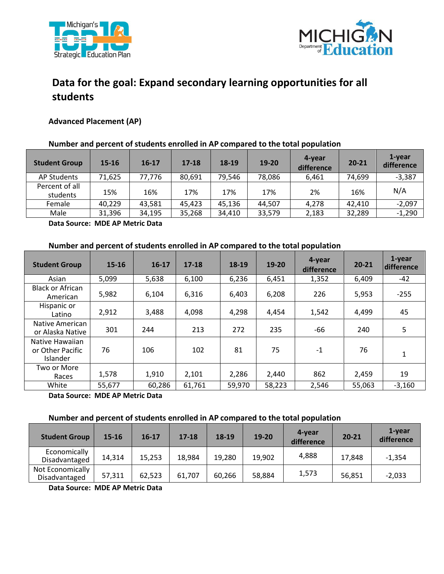



# **Data for the goal: Expand secondary learning opportunities for all students**

## **Advanced Placement (AP)**

## **Number and percent of students enrolled in AP compared to the total population**

| <b>Student Group</b>       | $15 - 16$ | $16 - 17$ | $17 - 18$ | 18-19  | 19-20  | 4-year<br>difference | $20 - 21$ | 1-year<br>difference |
|----------------------------|-----------|-----------|-----------|--------|--------|----------------------|-----------|----------------------|
| AP Students                | 71,625    | 77,776    | 80,691    | 79,546 | 78,086 | 6.461                | 74,699    | $-3,387$             |
| Percent of all<br>students | 15%       | 16%       | 17%       | 17%    | 17%    | 2%                   | 16%       | N/A                  |
| Female                     | 40,229    | 43,581    | 45,423    | 45,136 | 44.507 | 4,278                | 42,410    | $-2,097$             |
| Male                       | 31,396    | 34,195    | 35,268    | 34,410 | 33,579 | 2,183                | 32,289    | $-1,290$             |

 **Data Source: MDE AP Metric Data** 

#### **Number and percent of students enrolled in AP compared to the total population**

| <b>Student Group</b>                                   | $15 - 16$ | $16 - 17$ | $17 - 18$ | 18-19  | 19-20  | 4-year<br>difference | $20 - 21$ | 1-year<br>difference |
|--------------------------------------------------------|-----------|-----------|-----------|--------|--------|----------------------|-----------|----------------------|
| Asian                                                  | 5,099     | 5,638     | 6,100     | 6,236  | 6,451  | 1,352                | 6,409     | -42                  |
| <b>Black or African</b><br>American                    | 5,982     | 6.104     | 6,316     | 6,403  | 6,208  | 226                  | 5,953     | $-255$               |
| Hispanic or<br>Latino                                  | 2,912     | 3,488     | 4,098     | 4,298  | 4,454  | 1,542                | 4,499     | 45                   |
| Native American<br>or Alaska Native                    | 301       | 244       | 213       | 272    | 235    | -66                  | 240       | 5                    |
| Native Hawaiian<br>or Other Pacific<br><b>Islander</b> | 76        | 106       | 102       | 81     | 75     | $-1$                 | 76        | $\mathbf{1}$         |
| Two or More<br>Races                                   | 1,578     | 1,910     | 2,101     | 2,286  | 2,440  | 862                  | 2,459     | 19                   |
| White                                                  | 55,677    | 60,286    | 61,761    | 59,970 | 58,223 | 2,546                | 55,063    | $-3,160$             |

 **Data Source: MDE AP Metric Data** 

### **Number and percent of students enrolled in AP compared to the total population**

| <b>Student Group</b>              | 15-16  | $16-17$ | $17 - 18$ | 18-19  | 19-20  | 4-year<br>difference | $20 - 21$ | 1-year<br>difference |
|-----------------------------------|--------|---------|-----------|--------|--------|----------------------|-----------|----------------------|
| Economically<br>Disadvantaged     | 14,314 | 15,253  | 18,984    | 19,280 | 19,902 | 4,888                | 17,848    | $-1,354$             |
| Not Economically<br>Disadvantaged | 57,311 | 62,523  | 61,707    | 60,266 | 58,884 | 1,573                | 56,851    | $-2,033$             |

 **Data Source: MDE AP Metric Data**